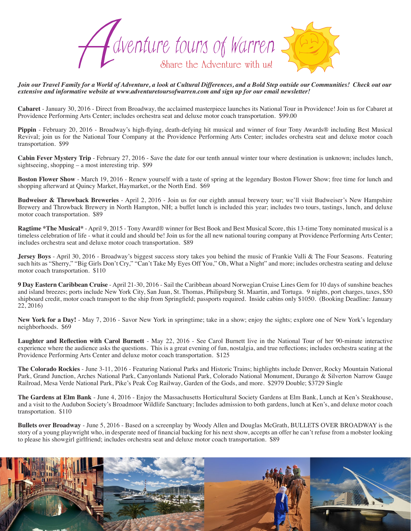

*Join our Travel Family for a World of Adventure, a look at Cultural Differences, and a Bold Step outside our Communities! Check out our extensive and informative website at www.adventuretoursofwarren.com and sign up for our email newsletter!* 

**Cabaret** - January 30, 2016 - Direct from Broadway, the acclaimed masterpiece launches its National Tour in Providence! Join us for Cabaret at Providence Performing Arts Center; includes orchestra seat and deluxe motor coach transportation. \$99.00

**Pippin** - February 20, 2016 - Broadway's high-flying, death-defying hit musical and winner of four Tony Awards® including Best Musical Revival; join us for the National Tour Company at the Providence Performing Arts Center; includes orchestra seat and deluxe motor coach transportation. \$99

**Cabin Fever Mystery Trip** - February 27, 2016 - Save the date for our tenth annual winter tour where destination is unknown; includes lunch, sightseeing, shopping – a most interesting trip. \$99

**Boston Flower Show** - March 19, 2016 - Renew yourself with a taste of spring at the legendary Boston Flower Show; free time for lunch and shopping afterward at Quincy Market, Haymarket, or the North End. \$69

**Budweiser & Throwback Breweries** - April 2, 2016 - Join us for our eighth annual brewery tour; we'll visit Budweiser's New Hampshire Brewery and Throwback Brewery in North Hampton, NH; a buffet lunch is included this year; includes two tours, tastings, lunch, and deluxe motor coach transportation. \$89

**Ragtime \*The Musical\*** - April 9, 2015 - Tony Award® winner for Best Book and Best Musical Score, this 13-time Tony nominated musical is a timeless celebration of life - what it could and should be! Join us for the all new national touring company at Providence Performing Arts Center; includes orchestra seat and deluxe motor coach transportation. \$89

**Jersey Boys** - April 30, 2016 - Broadway's biggest success story takes you behind the music of Frankie Valli & The Four Seasons. Featuring such hits as "Sherry," "Big Girls Don't Cry," "Can't Take My Eyes Off You," Oh, What a Night" and more; includes orchestra seating and deluxe motor coach transportation. \$110

**9 Day Eastern Caribbean Cruise** - April 21-30, 2016 - Sail the Caribbean aboard Norwegian Cruise Lines Gem for 10 days of sunshine beaches and island breezes; ports include New York City, San Juan, St. Thomas, Philipsburg St. Maartin, and Tortuga. 9 nights, port charges, taxes, \$50 shipboard credit, motor coach transport to the ship from Springfield; passports required. Inside cabins only \$1050. (Booking Deadline: January  $22, 2016$ 

**New York for a Day!** - May 7, 2016 - Savor New York in springtime; take in a show; enjoy the sights; explore one of New York's legendary neighborhoods. \$69

**Laughter and Reflection with Carol Burnett** - May 22, 2016 - See Carol Burnett live in the National Tour of her 90-minute interactive experience where the audience asks the questions. This is a great evening of fun, nostalgia, and true reflections; includes orchestra seating at the Providence Performing Arts Center and deluxe motor coach transportation. \$125

**The Colorado Rockies** - June 3-11, 2016 - Featuring National Parks and Historic Trains; highlights include Denver, Rocky Mountain National Park, Grand Junction, Arches National Park, Canyonlands National Park, Colorado National Monument, Durango & Silverton Narrow Gauge Railroad, Mesa Verde National Park, Pike's Peak Cog Railway, Garden of the Gods, and more. \$2979 Double; \$3729 Single

**The Gardens at Elm Bank** - June 4, 2016 - Enjoy the Massachusetts Horticultural Society Gardens at Elm Bank, Lunch at Ken's Steakhouse, and a visit to the Audubon Society's Broadmoor Wildlife Sanctuary; Includes admission to both gardens, lunch at Ken's, and deluxe motor coach transportation. \$110

**Bullets over Broadway** - June 5, 2016 - Based on a screenplay by Woody Allen and Douglas McGrath, BULLETS OVER BROADWAY is the story of a young playwright who, in desperate need of financial backing for his next show, accepts an offer he can't refuse from a mobster looking to please his showgirl girlfriend; includes orchestra seat and deluxe motor coach transportation. \$89